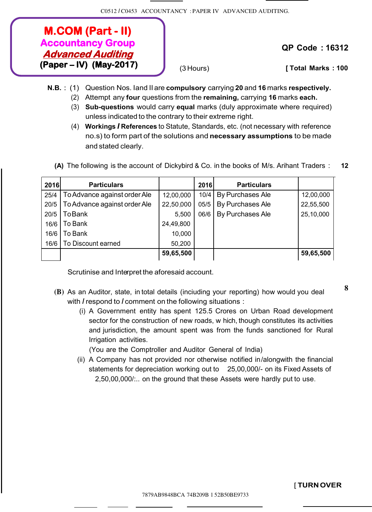## **M.COM (Part - II) Accountancy Group Advanced Auditing (Paper – IV) (May-2017)**

**QP Code : 16312**

(3 Hours) **[ Total Marks : 100**

- **N.B.** : (1) Question Nos. Iand II are **compulsory** carrying **20** and **16** marks **respectively.**
	- (2) Attempt any **four** questions from the **remaining,** carrying **16** marks **each.**
	- (3) **Sub-questions** would carry **equal** marks (duly approximate where required) unless indicated to the contrary to their extreme right.
	- (4) **Workings** *I* **References** to Statute, Standards, etc. (not necessary with reference no.s) to form part of the solutions and **necessary assumptions** to be made and stated clearly.

| 2016 | <b>Particulars</b>           |           | 2016 | <b>Particulars</b> |           |
|------|------------------------------|-----------|------|--------------------|-----------|
| 25/4 | To Advance against order Ale | 12,00,000 | 10/4 | By Purchases Ale   | 12,00,000 |
| 20/5 | To Advance against order Ale | 22,50,000 | 05/5 | By Purchases Ale   | 22,55,500 |
| 20/5 | <b>ToBank</b>                | 5,500     | 06/6 | By Purchases Ale   | 25,10,000 |
| 16/6 | To Bank                      | 24,49,800 |      |                    |           |
| 16/6 | To Bank                      | 10,000    |      |                    |           |
| 16/6 | To Discount earned           | 50,200    |      |                    |           |
|      |                              | 59,65,500 |      |                    | 59,65,500 |

**(A)** The following is the account of Dickybird & Co. in the books of M/s. Arihant Traders : **12**

Scrutinise and Interpret the aforesaid account.

- **(B)** As an Auditor, state, in total details (inciuding your reporting) how would you deal**<sup>8</sup>** with *I* respond to *I* comment on the following situations :
	- (i) A Government entity has spent 125.5 Crores on Urban Road development sector for the construction of new roads, w hich, though constitutes its activities and jurisdiction, the amount spent was from the funds sanctioned for Rural Irrigation activities.

(You are the Comptroller and Auditor General of India)

(ii) A Company has not provided nor otherwise notified in/alongwith the financial statements for depreciation working out to 25,00,000/- on its Fixed Assets of 2,50,00,000/:.. on the ground that these Assets were hardly put to use.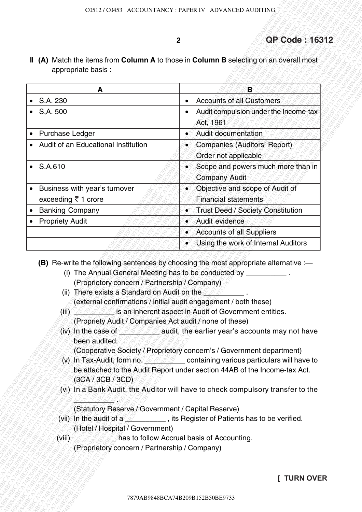## **2 QP Code : 16312**

| appropriate basis :                                                                                                                                                                    | II (A) Match the items from Column A to those in Column B selecting on an overall most                                                                                                                                                                                                                                                                                                                                                                                                                                                                                                                                                                      |
|----------------------------------------------------------------------------------------------------------------------------------------------------------------------------------------|-------------------------------------------------------------------------------------------------------------------------------------------------------------------------------------------------------------------------------------------------------------------------------------------------------------------------------------------------------------------------------------------------------------------------------------------------------------------------------------------------------------------------------------------------------------------------------------------------------------------------------------------------------------|
|                                                                                                                                                                                        |                                                                                                                                                                                                                                                                                                                                                                                                                                                                                                                                                                                                                                                             |
| A                                                                                                                                                                                      | B                                                                                                                                                                                                                                                                                                                                                                                                                                                                                                                                                                                                                                                           |
| $\bullet$ S.A. 230                                                                                                                                                                     | <b>Accounts of all Customers</b>                                                                                                                                                                                                                                                                                                                                                                                                                                                                                                                                                                                                                            |
| $\bullet$ S,A. 500                                                                                                                                                                     | Audit compulsion under the Income-tax<br>$\bullet$<br>Act, 1961                                                                                                                                                                                                                                                                                                                                                                                                                                                                                                                                                                                             |
| <b>Purchase Ledger</b>                                                                                                                                                                 | Audit documentation                                                                                                                                                                                                                                                                                                                                                                                                                                                                                                                                                                                                                                         |
| Audit of an Educational Institution                                                                                                                                                    | • Companies (Auditors' Report)                                                                                                                                                                                                                                                                                                                                                                                                                                                                                                                                                                                                                              |
|                                                                                                                                                                                        | Order not applicable                                                                                                                                                                                                                                                                                                                                                                                                                                                                                                                                                                                                                                        |
| $\bullet$ S.A.610                                                                                                                                                                      | • Scope and powers much more than in<br><b>Company Audit</b>                                                                                                                                                                                                                                                                                                                                                                                                                                                                                                                                                                                                |
| Business with year's turnover<br>$\bullet$                                                                                                                                             | • Objective and scope of Audit of                                                                                                                                                                                                                                                                                                                                                                                                                                                                                                                                                                                                                           |
| exceeding ₹ 1 crore                                                                                                                                                                    | <b>Financial statements</b>                                                                                                                                                                                                                                                                                                                                                                                                                                                                                                                                                                                                                                 |
| <b>Banking Company</b>                                                                                                                                                                 | Trust Deed / Society Constitution<br>۸Ň                                                                                                                                                                                                                                                                                                                                                                                                                                                                                                                                                                                                                     |
| <b>Propriety Audit</b>                                                                                                                                                                 | • Audit evidence                                                                                                                                                                                                                                                                                                                                                                                                                                                                                                                                                                                                                                            |
|                                                                                                                                                                                        |                                                                                                                                                                                                                                                                                                                                                                                                                                                                                                                                                                                                                                                             |
|                                                                                                                                                                                        | • Accounts of all Suppliers                                                                                                                                                                                                                                                                                                                                                                                                                                                                                                                                                                                                                                 |
| (Proprietory concern / Partnership / Company)<br>(ii) There exists a Standard on Audit on the $\Diamond$                                                                               | • Using the work of Internal Auditors<br>(B) Re-write the following sentences by choosing the most appropriate alternative :-<br>(i) The Annual General Meeting has to be conducted by ___________.                                                                                                                                                                                                                                                                                                                                                                                                                                                         |
| (Propriety Audit / Companies Act audit / none of these)<br>been audited.<br>(3CA / 3CB / 3CD)<br>(Statutory Reserve / Government / Capital Reserve)<br>(Hotel / Hospital / Government) | (external confirmations / initial audit engagement / both these)<br>(iii) A Second is an inherent aspect in Audit of Government entities.<br>(iv) In the case of $\sim$ $\sim$ $\sim$ audit, the earlier year's accounts may not have<br>(Cooperative Society / Proprietory concern's / Government department)<br>(v) In Tax-Audit, form no, $\frac{1}{2}$ , containing various particulars will have to<br>be attached to the Audit Report under section 44AB of the Income-tax Act.<br>(vi) In a Bank Audit, the Auditor will have to check compulsory transfer to the<br>(vii) In the audit of $a \leq 1$ , its Register of Patients has to be verified. |
| (viii) <u>Marte and Sea Standard Schola</u> basis of Accounting.<br>(Proprietory concern / Partnership / Company)                                                                      |                                                                                                                                                                                                                                                                                                                                                                                                                                                                                                                                                                                                                                                             |

- (i) The Annual General Meeting has to be conducted by \_\_\_\_\_\_\_\_\_ (Proprietory concern / Partnership / Company)
- (ii) There exists a Standard on Audit on the (external confirmations / initial audit engagement / both these)
- (iii)  $\leq$   $\leq$   $\leq$  is an inherent aspect in Audit of Government entities.
	- (Propriety Audit / Companies Act audit / none of these)
- (iv) In the case of  $\leq$   $\leq$   $\leq$  audit, the earlier year's accounts may not have been audited.

- (v) In Tax-Audit, form no.  $\leq$   $\leq$   $\leq$  containing various particulars will have to be attached to the Audit Report under section 44AB of the Income-tax Act. (3CA / 3CB / 3CD)
- (vi) In a Bank Audit, the Auditor will have to check compulsory transfer to the

## (Statutory Reserve / Government / Capital Reserve)

- (vii) In the audit of a  $\leq$   $\leq$   $\leq$   $\leq$   $\leq$   $\leq$  Register of Patients has to be verified. (Hotel / Hospital / Government)
- (viii)  $\sim$   $\sim$   $\sim$   $\sim$  has to follow Accrual basis of Accounting.
	- (Proprietory concern / Partnership / Company)